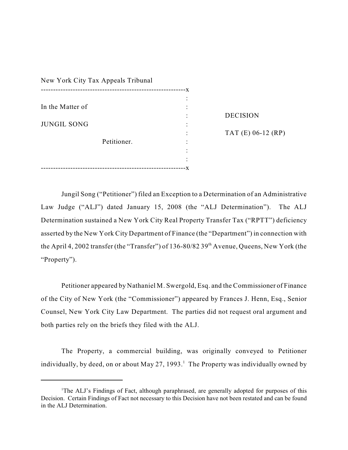| New York City Tax Appeals Tribunal |                |                    |
|------------------------------------|----------------|--------------------|
|                                    | -X             |                    |
|                                    | ٠<br>$\bullet$ |                    |
| In the Matter of                   |                |                    |
|                                    | ٠              | <b>DECISION</b>    |
| <b>JUNGIL SONG</b>                 | ٠              |                    |
|                                    | ٠              | TAT (E) 06-12 (RP) |
| Petitioner.                        |                |                    |
|                                    |                |                    |
|                                    | ٠              |                    |
|                                    | - X            |                    |

Jungil Song ("Petitioner") filed an Exception to a Determination of an Administrative Law Judge ("ALJ") dated January 15, 2008 (the "ALJ Determination"). The ALJ Determination sustained a New York City Real Property Transfer Tax ("RPTT") deficiency asserted by the New York City Department of Finance (the "Department") in connection with the April 4, 2002 transfer (the "Transfer") of  $136-80/8239$ <sup>th</sup> Avenue, Queens, New York (the "Property").

Petitioner appeared by Nathaniel M. Swergold, Esq. and the Commissioner of Finance of the City of New York (the "Commissioner") appeared by Frances J. Henn, Esq., Senior Counsel, New York City Law Department. The parties did not request oral argument and both parties rely on the briefs they filed with the ALJ.

The Property, a commercial building, was originally conveyed to Petitioner individually, by deed, on or about May 27, 1993.<sup>1</sup> The Property was individually owned by

<sup>&</sup>lt;sup>1</sup>The ALJ's Findings of Fact, although paraphrased, are generally adopted for purposes of this Decision. Certain Findings of Fact not necessary to this Decision have not been restated and can be found in the ALJ Determination.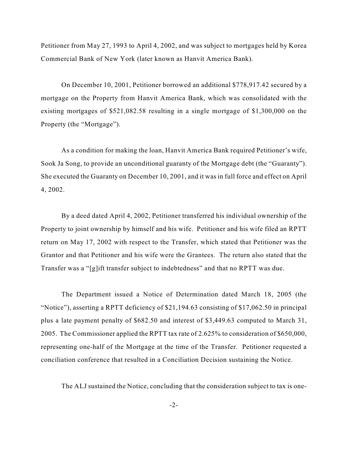Petitioner from May 27, 1993 to April 4, 2002, and was subject to mortgages held by Korea Commercial Bank of New York (later known as Hanvit America Bank).

On December 10, 2001, Petitioner borrowed an additional \$778,917.42 secured by a mortgage on the Property from Hanvit America Bank, which was consolidated with the existing mortgages of \$521,082.58 resulting in a single mortgage of \$1,300,000 on the Property (the "Mortgage").

As a condition for making the loan, Hanvit America Bank required Petitioner's wife, Sook Ja Song, to provide an unconditional guaranty of the Mortgage debt (the "Guaranty"). She executed the Guaranty on December 10, 2001, and it was in full force and effect on April 4, 2002.

By a deed dated April 4, 2002, Petitioner transferred his individual ownership of the Property to joint ownership by himself and his wife. Petitioner and his wife filed an RPTT return on May 17, 2002 with respect to the Transfer, which stated that Petitioner was the Grantor and that Petitioner and his wife were the Grantees. The return also stated that the Transfer was a "[g]ift transfer subject to indebtedness" and that no RPTT was due.

The Department issued a Notice of Determination dated March 18, 2005 (the "Notice"), asserting a RPTT deficiency of \$21,194.63 consisting of \$17,062.50 in principal plus a late payment penalty of \$682.50 and interest of \$3,449.63 computed to March 31, 2005. The Commissioner applied the RPTT tax rate of 2.625% to consideration of \$650,000, representing one-half of the Mortgage at the time of the Transfer. Petitioner requested a conciliation conference that resulted in a Conciliation Decision sustaining the Notice.

The ALJ sustained the Notice, concluding that the consideration subject to tax is one-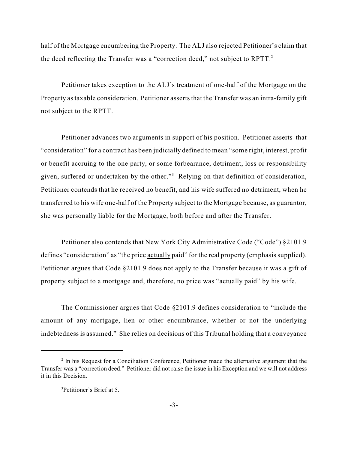half of the Mortgage encumbering the Property. The ALJ also rejected Petitioner's claim that the deed reflecting the Transfer was a "correction deed," not subject to RPTT.<sup>2</sup>

Petitioner takes exception to the ALJ's treatment of one-half of the Mortgage on the Property as taxable consideration. Petitioner asserts that the Transfer was an intra-family gift not subject to the RPTT.

Petitioner advances two arguments in support of his position. Petitioner asserts that "consideration" for a contract has been judicially defined to mean "some right, interest, profit or benefit accruing to the one party, or some forbearance, detriment, loss or responsibility given, suffered or undertaken by the other."<sup>3</sup> Relying on that definition of consideration, Petitioner contends that he received no benefit, and his wife suffered no detriment, when he transferred to his wife one-half of the Property subject to the Mortgage because, as guarantor, she was personally liable for the Mortgage, both before and after the Transfer.

Petitioner also contends that New York City Administrative Code ("Code") §2101.9 defines "consideration" as "the price actually paid" for the real property (emphasis supplied). Petitioner argues that Code §2101.9 does not apply to the Transfer because it was a gift of property subject to a mortgage and, therefore, no price was "actually paid" by his wife.

The Commissioner argues that Code §2101.9 defines consideration to "include the amount of any mortgage, lien or other encumbrance, whether or not the underlying indebtedness is assumed." She relies on decisions of this Tribunal holding that a conveyance

<sup>&</sup>lt;sup>2</sup> In his Request for a Conciliation Conference, Petitioner made the alternative argument that the Transfer was a "correction deed." Petitioner did not raise the issue in his Exception and we will not address it in this Decision.

<sup>&</sup>lt;sup>3</sup>Petitioner's Brief at 5.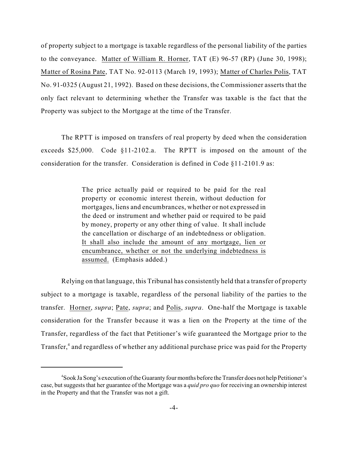of property subject to a mortgage is taxable regardless of the personal liability of the parties to the conveyance. Matter of William R. Horner, TAT (E) 96-57 (RP) (June 30, 1998); Matter of Rosina Pate, TAT No. 92-0113 (March 19, 1993); Matter of Charles Polis, TAT No. 91-0325 (August 21, 1992). Based on these decisions, the Commissioner asserts that the only fact relevant to determining whether the Transfer was taxable is the fact that the Property was subject to the Mortgage at the time of the Transfer.

The RPTT is imposed on transfers of real property by deed when the consideration exceeds \$25,000. Code §11-2102.a. The RPTT is imposed on the amount of the consideration for the transfer. Consideration is defined in Code  $\S11-2101.9$  as:

> The price actually paid or required to be paid for the real property or economic interest therein, without deduction for mortgages, liens and encumbrances, whether or not expressed in the deed or instrument and whether paid or required to be paid by money, property or any other thing of value. It shall include the cancellation or discharge of an indebtedness or obligation. It shall also include the amount of any mortgage, lien or encumbrance, whether or not the underlying indebtedness is assumed. (Emphasis added.)

Relying on that language, this Tribunal has consistently held that a transfer of property subject to a mortgage is taxable, regardless of the personal liability of the parties to the transfer. Horner, *supra*; Pate, *supra*; and Polis, *supra*. One-half the Mortgage is taxable consideration for the Transfer because it was a lien on the Property at the time of the Transfer, regardless of the fact that Petitioner's wife guaranteed the Mortgage prior to the Transfer,<sup>4</sup> and regardless of whether any additional purchase price was paid for the Property

Sook Ja Song's execution of the Guaranty four months before the Transfer does not help Petitioner's 4 case, but suggests that her guarantee of the Mortgage was a *quid pro quo* for receiving an ownership interest in the Property and that the Transfer was not a gift.